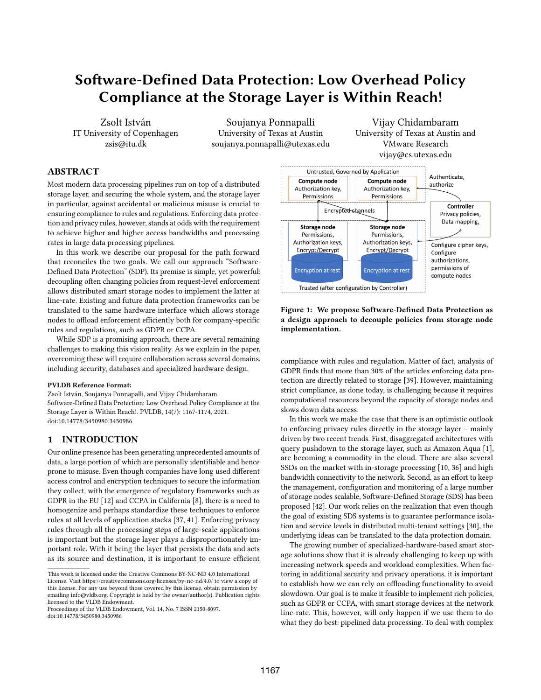# Software-Defined Data Protection: Low Overhead Policy Compliance at the Storage Layer is Within Reach!

Zsolt István IT University of Copenhagen zsis@itu.dk

Soujanya Ponnapalli University of Texas at Austin soujanya.ponnapalli@utexas.edu

ABSTRACT

Most modern data processing pipelines run on top of a distributed storage layer, and securing the whole system, and the storage layer in particular, against accidental or malicious misuse is crucial to ensuring compliance to rules and regulations. Enforcing data protection and privacy rules, however, stands at odds with the requirement to achieve higher and higher access bandwidths and processing rates in large data processing pipelines.

In this work we describe our proposal for the path forward that reconciles the two goals. We call our approach "Software-Defined Data Protection" (SDP). Its premise is simple, yet powerful: decoupling often changing policies from request-level enforcement allows distributed smart storage nodes to implement the latter at line-rate. Existing and future data protection frameworks can be translated to the same hardware interface which allows storage nodes to offload enforcement efficiently both for company-specific rules and regulations, such as GDPR or CCPA.

While SDP is a promising approach, there are several remaining challenges to making this vision reality. As we explain in the paper, overcoming these will require collaboration across several domains, including security, databases and specialized hardware design.

#### PVLDB Reference Format:

Zsolt István, Soujanya Ponnapalli, and Vijay Chidambaram. Software-Defined Data Protection: Low Overhead Policy Compliance at the Storage Layer is Within Reach!. PVLDB, 14(7): 1167-1174, 2021. [doi:10.14778/3450980.3450986](https://doi.org/10.14778/3450980.3450986)

# 1 INTRODUCTION

Our online presence has been generating unprecedented amounts of data, a large portion of which are personally identifiable and hence prone to misuse. Even though companies have long used different access control and encryption techniques to secure the information they collect, with the emergence of regulatory frameworks such as GDPR in the EU [12] and CCPA in California [8], there is a need to homogenize and perhaps standardize these techniques to enforce rules at all levels of application stacks [37, 41]. Enforcing privacy rules through all the processing steps of large-scale applications is important but the storage layer plays a disproportionately important role. With it being the layer that persists the data and acts as its source and destination, it is important to ensure efficient

Proceedings of the VLDB Endowment, Vol. 14, No. 7 ISSN 2150-8097. [doi:10.14778/3450980.3450986](https://doi.org/10.14778/3450980.3450986)



Vijay Chidambaram University of Texas at Austin and VMware Research

Figure 1: We propose Software-Defined Data Protection as a design approach to decouple policies from storage node implementation.

compliance with rules and regulation. Matter of fact, analysis of GDPR finds that more than 30% of the articles enforcing data protection are directly related to storage [39]. However, maintaining strict compliance, as done today, is challenging because it requires computational resources beyond the capacity of storage nodes and slows down data access.

In this work we make the case that there is an optimistic outlook to enforcing privacy rules directly in the storage layer – mainly driven by two recent trends. First, disaggregated architectures with query pushdown to the storage layer, such as Amazon Aqua [1], are becoming a commodity in the cloud. There are also several SSDs on the market with in-storage processing [10, 36] and high bandwidth connectivity to the network. Second, as an effort to keep the management, configuration and monitoring of a large number of storage nodes scalable, Software-Defined Storage (SDS) has been proposed [42]. Our work relies on the realization that even though the goal of existing SDS systems is to guarantee performance isolation and service levels in distributed multi-tenant settings [30], the underlying ideas can be translated to the data protection domain.

The growing number of specialized-hardware-based smart storage solutions show that it is already challenging to keep up with increasing network speeds and workload complexities. When factoring in additional security and privacy operations, it is important to establish how we can rely on offloading functionality to avoid slowdown. Our goal is to make it feasible to implement rich policies, such as GDPR or CCPA, with smart storage devices at the network line-rate. This, however, will only happen if we use them to do what they do best: pipelined data processing. To deal with complex

This work is licensed under the Creative Commons BY-NC-ND 4.0 International License. Visit<https://creativecommons.org/licenses/by-nc-nd/4.0/> to view a copy of this license. For any use beyond those covered by this license, obtain permission by emailing [info@vldb.org.](mailto:info@vldb.org) Copyright is held by the owner/author(s). Publication rights licensed to the VLDB Endowment.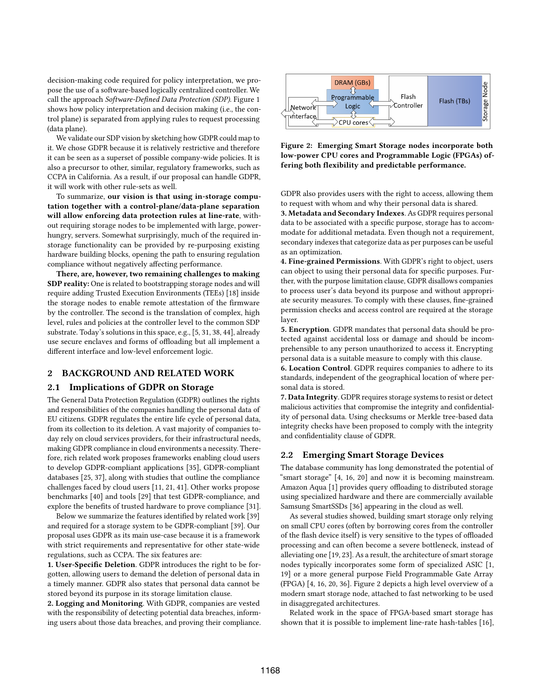decision-making code required for policy interpretation, we propose the use of a software-based logically centralized controller. We call the approach Software-Defined Data Protection (SDP). Figure 1 shows how policy interpretation and decision making (i.e., the control plane) is separated from applying rules to request processing (data plane).

We validate our SDP vision by sketching how GDPR could map to it. We chose GDPR because it is relatively restrictive and therefore it can be seen as a superset of possible company-wide policies. It is also a precursor to other, similar, regulatory frameworks, such as CCPA in California. As a result, if our proposal can handle GDPR, it will work with other rule-sets as well.

To summarize, our vision is that using in-storage computation together with a control-plane/data-plane separation will allow enforcing data protection rules at line-rate, without requiring storage nodes to be implemented with large, powerhungry, servers. Somewhat surprisingly, much of the required instorage functionality can be provided by re-purposing existing hardware building blocks, opening the path to ensuring regulation compliance without negatively affecting performance.

There, are, however, two remaining challenges to making SDP reality: One is related to bootstrapping storage nodes and will require adding Trusted Execution Environments (TEEs) [18] inside the storage nodes to enable remote attestation of the firmware by the controller. The second is the translation of complex, high level, rules and policies at the controller level to the common SDP substrate. Today's solutions in this space, e.g., [5, 31, 38, 44], already use secure enclaves and forms of offloading but all implement a different interface and low-level enforcement logic.

#### 2 BACKGROUND AND RELATED WORK

#### 2.1 Implications of GDPR on Storage

The General Data Protection Regulation (GDPR) outlines the rights and responsibilities of the companies handling the personal data of EU citizens. GDPR regulates the entire life cycle of personal data, from its collection to its deletion. A vast majority of companies today rely on cloud services providers, for their infrastructural needs, making GDPR compliance in cloud environments a necessity. Therefore, rich related work proposes frameworks enabling cloud users to develop GDPR-compliant applications [35], GDPR-compliant databases [25, 37], along with studies that outline the compliance challenges faced by cloud users [11, 21, 41]. Other works propose benchmarks [40] and tools [29] that test GDPR-compliance, and explore the benefits of trusted hardware to prove compliance [31].

Below we summarize the features identified by related work [39] and required for a storage system to be GDPR-compliant [39]. Our proposal uses GDPR as its main use-case because it is a framework with strict requirements and representative for other state-wide regulations, such as CCPA. The six features are:

1. User-Specific Deletion. GDPR introduces the right to be forgotten, allowing users to demand the deletion of personal data in a timely manner. GDPR also states that personal data cannot be stored beyond its purpose in its storage limitation clause.

2. Logging and Monitoring. With GDPR, companies are vested with the responsibility of detecting potential data breaches, informing users about those data breaches, and proving their compliance.



Figure 2: Emerging Smart Storage nodes incorporate both low-power CPU cores and Programmable Logic (FPGAs) offering both flexibility and predictable performance.

GDPR also provides users with the right to access, allowing them to request with whom and why their personal data is shared.

3. Metadata and Secondary Indexes. As GDPR requires personal data to be associated with a specific purpose, storage has to accommodate for additional metadata. Even though not a requirement, secondary indexes that categorize data as per purposes can be useful as an optimization.

4. Fine-grained Permissions. With GDPR's right to object, users can object to using their personal data for specific purposes. Further, with the purpose limitation clause, GDPR disallows companies to process user's data beyond its purpose and without appropriate security measures. To comply with these clauses, fine-grained permission checks and access control are required at the storage layer.

5. Encryption. GDPR mandates that personal data should be protected against accidental loss or damage and should be incomprehensible to any person unauthorized to access it. Encrypting personal data is a suitable measure to comply with this clause.

6. Location Control. GDPR requires companies to adhere to its standards, independent of the geographical location of where personal data is stored.

7. Data Integrity. GDPR requires storage systems to resist or detect malicious activities that compromise the integrity and confidentiality of personal data. Using checksums or Merkle tree-based data integrity checks have been proposed to comply with the integrity and confidentiality clause of GDPR.

#### 2.2 Emerging Smart Storage Devices

The database community has long demonstrated the potential of "smart storage" [4, 16, 20] and now it is becoming mainstream. Amazon Aqua [1] provides query offloading to distributed storage using specialized hardware and there are commercially available Samsung SmartSSDs [36] appearing in the cloud as well.

As several studies showed, building smart storage only relying on small CPU cores (often by borrowing cores from the controller of the flash device itself) is very sensitive to the types of offloaded processing and can often become a severe bottleneck, instead of alleviating one [19, 23]. As a result, the architecture of smart storage nodes typically incorporates some form of specialized ASIC [1, 19] or a more general purpose Field Programmable Gate Array (FPGA) [4, 16, 20, 36]. Figure 2 depicts a high level overview of a modern smart storage node, attached to fast networking to be used in disaggregated architectures.

Related work in the space of FPGA-based smart storage has shown that it is possible to implement line-rate hash-tables [16],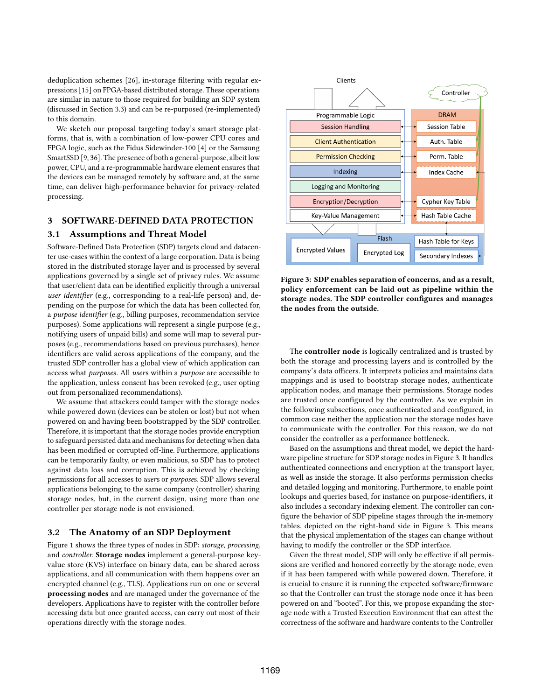deduplication schemes [26], in-storage filtering with regular expressions [15] on FPGA-based distributed storage. These operations are similar in nature to those required for building an SDP system (discussed in Section 3.3) and can be re-purposed (re-implemented) to this domain.

We sketch our proposal targeting today's smart storage platforms, that is, with a combination of low-power CPU cores and FPGA logic, such as the Fidus Sidewinder-100 [4] or the Samsung SmartSSD [9, 36]. The presence of both a general-purpose, albeit low power, CPU, and a re-programmable hardware element ensures that the devices can be managed remotely by software and, at the same time, can deliver high-performance behavior for privacy-related processing.

## 3 SOFTWARE-DEFINED DATA PROTECTION

#### 3.1 Assumptions and Threat Model

Software-Defined Data Protection (SDP) targets cloud and datacenter use-cases within the context of a large corporation. Data is being stored in the distributed storage layer and is processed by several applications governed by a single set of privacy rules. We assume that user/client data can be identified explicitly through a universal user identifier (e.g., corresponding to a real-life person) and, depending on the purpose for which the data has been collected for, a purpose identifier (e.g., billing purposes, recommendation service purposes). Some applications will represent a single purpose (e.g., notifying users of unpaid bills) and some will map to several purposes (e.g., recommendations based on previous purchases), hence identifiers are valid across applications of the company, and the trusted SDP controller has a global view of which application can access what purposes. All users within a purpose are accessible to the application, unless consent has been revoked (e.g., user opting out from personalized recommendations).

We assume that attackers could tamper with the storage nodes while powered down (devices can be stolen or lost) but not when powered on and having been bootstrapped by the SDP controller. Therefore, it is important that the storage nodes provide encryption to safeguard persisted data and mechanisms for detecting when data has been modified or corrupted off-line. Furthermore, applications can be temporarily faulty, or even malicious, so SDP has to protect against data loss and corruption. This is achieved by checking permissions for all accesses to users or purposes. SDP allows several applications belonging to the same company (controller) sharing storage nodes, but, in the current design, using more than one controller per storage node is not envisioned.

#### 3.2 The Anatomy of an SDP Deployment

Figure 1 shows the three types of nodes in SDP: storage, processing, and controller. Storage nodes implement a general-purpose keyvalue store (KVS) interface on binary data, can be shared across applications, and all communication with them happens over an encrypted channel (e.g., TLS). Applications run on one or several processing nodes and are managed under the governance of the developers. Applications have to register with the controller before accessing data but once granted access, can carry out most of their operations directly with the storage nodes.



Figure 3: SDP enables separation of concerns, and as a result, policy enforcement can be laid out as pipeline within the storage nodes. The SDP controller configures and manages the nodes from the outside.

The controller node is logically centralized and is trusted by both the storage and processing layers and is controlled by the company's data officers. It interprets policies and maintains data mappings and is used to bootstrap storage nodes, authenticate application nodes, and manage their permissions. Storage nodes are trusted once configured by the controller. As we explain in the following subsections, once authenticated and configured, in common case neither the application nor the storage nodes have to communicate with the controller. For this reason, we do not consider the controller as a performance bottleneck.

Based on the assumptions and threat model, we depict the hardware pipeline structure for SDP storage nodes in Figure 3. It handles authenticated connections and encryption at the transport layer, as well as inside the storage. It also performs permission checks and detailed logging and monitoring. Furthermore, to enable point lookups and queries based, for instance on purpose-identifiers, it also includes a secondary indexing element. The controller can configure the behavior of SDP pipeline stages through the in-memory tables, depicted on the right-hand side in Figure 3. This means that the physical implementation of the stages can change without having to modify the controller or the SDP interface.

Given the threat model, SDP will only be effective if all permissions are verified and honored correctly by the storage node, even if it has been tampered with while powered down. Therefore, it is crucial to ensure it is running the expected software/firmware so that the Controller can trust the storage node once it has been powered on and "booted". For this, we propose expanding the storage node with a Trusted Execution Environment that can attest the correctness of the software and hardware contents to the Controller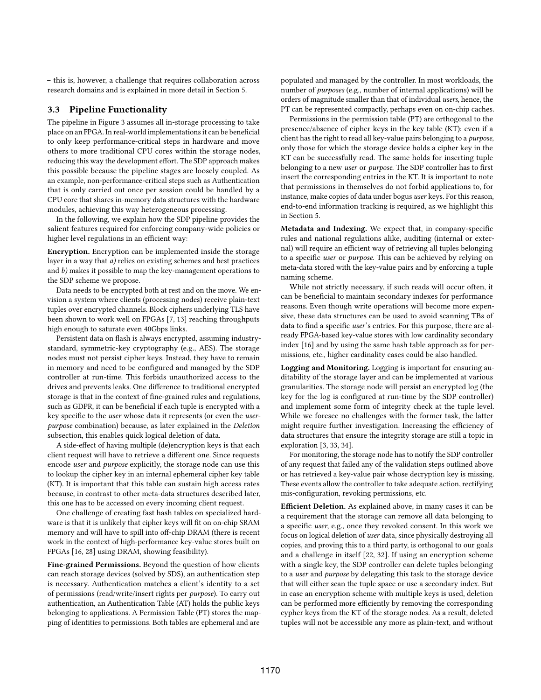– this is, however, a challenge that requires collaboration across research domains and is explained in more detail in Section 5.

#### 3.3 Pipeline Functionality

The pipeline in Figure 3 assumes all in-storage processing to take place on an FPGA. In real-world implementations it can be beneficial to only keep performance-critical steps in hardware and move others to more traditional CPU cores within the storage nodes, reducing this way the development effort. The SDP approach makes this possible because the pipeline stages are loosely coupled. As an example, non-performance-critical steps such as Authentication that is only carried out once per session could be handled by a CPU core that shares in-memory data structures with the hardware modules, achieving this way heterogeneous processing.

In the following, we explain how the SDP pipeline provides the salient features required for enforcing company-wide policies or higher level regulations in an efficient way:

Encryption. Encryption can be implemented inside the storage layer in a way that a) relies on existing schemes and best practices and b) makes it possible to map the key-management operations to the SDP scheme we propose.

Data needs to be encrypted both at rest and on the move. We envision a system where clients (processing nodes) receive plain-text tuples over encrypted channels. Block ciphers underlying TLS have been shown to work well on FPGAs [7, 13] reaching throughputs high enough to saturate even 40Gbps links.

Persistent data on flash is always encrypted, assuming industrystandard, symmetric-key cryptography (e.g., AES). The storage nodes must not persist cipher keys. Instead, they have to remain in memory and need to be configured and managed by the SDP controller at run-time. This forbids unauthorized access to the drives and prevents leaks. One difference to traditional encrypted storage is that in the context of fine-grained rules and regulations, such as GDPR, it can be beneficial if each tuple is encrypted with a key specific to the user whose data it represents (or even the userpurpose combination) because, as later explained in the Deletion subsection, this enables quick logical deletion of data.

A side-effect of having multiple (de)encryption keys is that each client request will have to retrieve a different one. Since requests encode user and purpose explicitly, the storage node can use this to lookup the cipher key in an internal ephemeral cipher key table (KT). It is important that this table can sustain high access rates because, in contrast to other meta-data structures described later, this one has to be accessed on every incoming client request.

One challenge of creating fast hash tables on specialized hardware is that it is unlikely that cipher keys will fit on on-chip SRAM memory and will have to spill into off-chip DRAM (there is recent work in the context of high-performance key-value stores built on FPGAs [16, 28] using DRAM, showing feasibility).

Fine-grained Permissions. Beyond the question of how clients can reach storage devices (solved by SDS), an authentication step is necessary. Authentication matches a client's identity to a set of permissions (read/write/insert rights per purpose). To carry out authentication, an Authentication Table (AT) holds the public keys belonging to applications. A Permission Table (PT) stores the mapping of identities to permissions. Both tables are ephemeral and are populated and managed by the controller. In most workloads, the number of purposes (e.g., number of internal applications) will be orders of magnitude smaller than that of individual users, hence, the PT can be represented compactly, perhaps even on on-chip caches.

Permissions in the permission table (PT) are orthogonal to the presence/absence of cipher keys in the key table (KT): even if a client has the right to read all key-value pairs belonging to a purpose, only those for which the storage device holds a cipher key in the KT can be successfully read. The same holds for inserting tuple belonging to a new user or *purpose*. The SDP controller has to first insert the corresponding entries in the KT. It is important to note that permissions in themselves do not forbid applications to, for instance, make copies of data under bogus user keys. For this reason, end-to-end information tracking is required, as we highlight this in Section 5.

Metadata and Indexing. We expect that, in company-specific rules and national regulations alike, auditing (internal or external) will require an efficient way of retrieving all tuples belonging to a specific user or purpose. This can be achieved by relying on meta-data stored with the key-value pairs and by enforcing a tuple naming scheme.

While not strictly necessary, if such reads will occur often, it can be beneficial to maintain secondary indexes for performance reasons. Even though write operations will become more expensive, these data structures can be used to avoid scanning TBs of data to find a specific user's entries. For this purpose, there are already FPGA-based key-value stores with low cardinality secondary index [16] and by using the same hash table approach as for permissions, etc., higher cardinality cases could be also handled.

Logging and Monitoring. Logging is important for ensuring auditability of the storage layer and can be implemented at various granularities. The storage node will persist an encrypted log (the key for the log is configured at run-time by the SDP controller) and implement some form of integrity check at the tuple level. While we foresee no challenges with the former task, the latter might require further investigation. Increasing the efficiency of data structures that ensure the integrity storage are still a topic in exploration [3, 33, 34].

For monitoring, the storage node has to notify the SDP controller of any request that failed any of the validation steps outlined above or has retrieved a key-value pair whose decryption key is missing. These events allow the controller to take adequate action, rectifying mis-configuration, revoking permissions, etc.

Efficient Deletion. As explained above, in many cases it can be a requirement that the storage can remove all data belonging to a specific user, e.g., once they revoked consent. In this work we focus on logical deletion of user data, since physically destroying all copies, and proving this to a third party, is orthogonal to our goals and a challenge in itself [22, 32]. If using an encryption scheme with a single key, the SDP controller can delete tuples belonging to a user and purpose by delegating this task to the storage device that will either scan the tuple space or use a secondary index. But in case an encryption scheme with multiple keys is used, deletion can be performed more efficiently by removing the corresponding cypher keys from the KT of the storage nodes. As a result, deleted tuples will not be accessible any more as plain-text, and without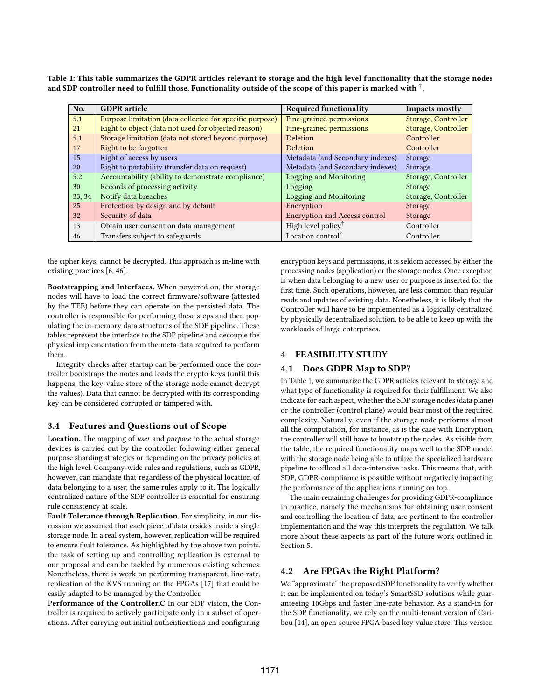Table 1: This table summarizes the GDPR articles relevant to storage and the high level functionality that the storage nodes and SDP controller need to fulfill those. Functionality outside of the scope of this paper is marked with  $^\dagger$ .

| No.    | <b>GDPR</b> article                                      | <b>Required functionality</b>                        | Impacts mostly      |
|--------|----------------------------------------------------------|------------------------------------------------------|---------------------|
| 5.1    | Purpose limitation (data collected for specific purpose) | Fine-grained permissions                             | Storage, Controller |
| 21     | Right to object (data not used for objected reason)      | Fine-grained permissions                             | Storage, Controller |
| 5.1    | Storage limitation (data not stored beyond purpose)      | <b>Deletion</b>                                      | Controller          |
| 17     | Right to be forgotten                                    | Deletion                                             | Controller          |
| 15     | Right of access by users                                 | Metadata (and Secondary indexes)                     | Storage             |
| 20     | Right to portability (transfer data on request)          | Metadata (and Secondary indexes)                     | Storage             |
| 5.2    | Accountability (ability to demonstrate compliance)       | Logging and Monitoring                               | Storage, Controller |
| 30     | Records of processing activity                           | Logging                                              | Storage             |
| 33, 34 | Notify data breaches                                     | Logging and Monitoring                               | Storage, Controller |
| 25     | Protection by design and by default                      | Encryption                                           | Storage             |
| 32     | Security of data                                         | <b>Encryption and Access control</b>                 | Storage             |
| 13     | Obtain user consent on data management                   | High level policy <sup><math>\mathsf{T}</math></sup> | Controller          |
| 46     | Transfers subject to safeguards                          | Location control                                     | Controller          |

the cipher keys, cannot be decrypted. This approach is in-line with existing practices [6, 46].

Bootstrapping and Interfaces. When powered on, the storage nodes will have to load the correct firmware/software (attested by the TEE) before they can operate on the persisted data. The controller is responsible for performing these steps and then populating the in-memory data structures of the SDP pipeline. These tables represent the interface to the SDP pipeline and decouple the physical implementation from the meta-data required to perform them.

Integrity checks after startup can be performed once the controller bootstraps the nodes and loads the crypto keys (until this happens, the key-value store of the storage node cannot decrypt the values). Data that cannot be decrypted with its corresponding key can be considered corrupted or tampered with.

# 3.4 Features and Questions out of Scope

Location. The mapping of user and purpose to the actual storage devices is carried out by the controller following either general purpose sharding strategies or depending on the privacy policies at the high level. Company-wide rules and regulations, such as GDPR, however, can mandate that regardless of the physical location of data belonging to a user, the same rules apply to it. The logically centralized nature of the SDP controller is essential for ensuring rule consistency at scale.

Fault Tolerance through Replication. For simplicity, in our discussion we assumed that each piece of data resides inside a single storage node. In a real system, however, replication will be required to ensure fault tolerance. As highlighted by the above two points, the task of setting up and controlling replication is external to our proposal and can be tackled by numerous existing schemes. Nonetheless, there is work on performing transparent, line-rate, replication of the KVS running on the FPGAs [17] that could be easily adapted to be managed by the Controller.

Performance of the Controller.C In our SDP vision, the Controller is required to actively participate only in a subset of operations. After carrying out initial authentications and configuring

encryption keys and permissions, it is seldom accessed by either the processing nodes (application) or the storage nodes. Once exception is when data belonging to a new user or purpose is inserted for the first time. Such operations, however, are less common than regular reads and updates of existing data. Nonetheless, it is likely that the Controller will have to be implemented as a logically centralized by physically decentralized solution, to be able to keep up with the workloads of large enterprises.

## **FEASIBILITY STUDY**

## 4.1 Does GDPR Map to SDP?

In Table 1, we summarize the GDPR articles relevant to storage and what type of functionality is required for their fulfillment. We also indicate for each aspect, whether the SDP storage nodes (data plane) or the controller (control plane) would bear most of the required complexity. Naturally, even if the storage node performs almost all the computation, for instance, as is the case with Encryption, the controller will still have to bootstrap the nodes. As visible from the table, the required functionality maps well to the SDP model with the storage node being able to utilize the specialized hardware pipeline to offload all data-intensive tasks. This means that, with SDP, GDPR-compliance is possible without negatively impacting the performance of the applications running on top.

The main remaining challenges for providing GDPR-compliance in practice, namely the mechanisms for obtaining user consent and controlling the location of data, are pertinent to the controller implementation and the way this interprets the regulation. We talk more about these aspects as part of the future work outlined in Section 5.

## 4.2 Are FPGAs the Right Platform?

We "approximate" the proposed SDP functionality to verify whether it can be implemented on today's SmartSSD solutions while guaranteeing 10Gbps and faster line-rate behavior. As a stand-in for the SDP functionality, we rely on the multi-tenant version of Caribou [14], an open-source FPGA-based key-value store. This version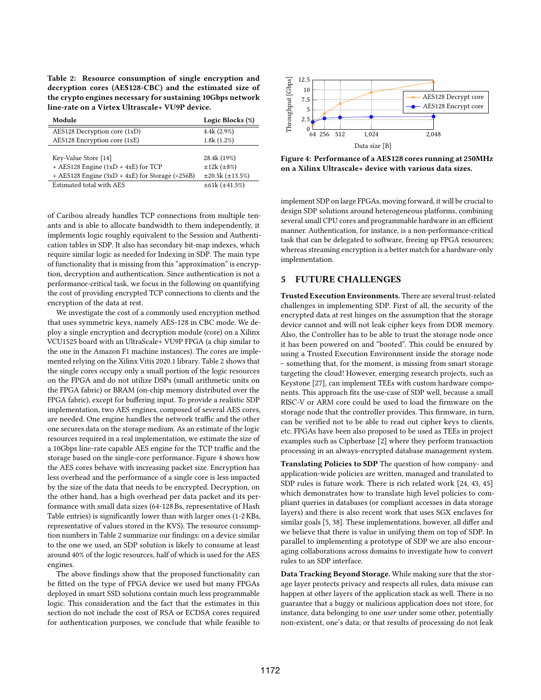Table 2: Resource consumption of single encryption and decryption cores (AES128-CBC) and the estimated size of the crypto engines necessary for sustaining 10Gbps network line-rate on a Virtex Ultrascale+ VU9P device.

| Module                                            | Logic Blocks (%)             |
|---------------------------------------------------|------------------------------|
| AES128 Decryption core (1xD)                      | $4.4k(2.9\%)$                |
| AES128 Encryption core (1xE)                      | 1.8k(1.2%)                   |
|                                                   |                              |
| Key-Value Store [14]                              | 28.4k (19%)                  |
| + AES128 Engine $(1xD + 4xE)$ for TCP             | $\pm 12k (\pm 8\%)$          |
| + AES128 Engine $(3xD + 4xE)$ for Storage (>256B) | $\pm 20.5k$ ( $\pm 13.5\%$ ) |
| Estimated total with AES                          | $\pm 61k$ ( $\pm 41.5\%$ )   |

of Caribou already handles TCP connections from multiple tenants and is able to allocate bandwidth to them independently, it implements logic roughly equivalent to the Session and Authentication tables in SDP. It also has secondary bit-map indexes, which require similar logic as needed for Indexing in SDP. The main type of functionality that is missing from this "approximation" is encryption, decryption and authentication. Since authentication is not a performance-critical task, we focus in the following on quantifying the cost of providing encrypted TCP connections to clients and the encryption of the data at rest.

We investigate the cost of a commonly used encryption method that uses symmetric keys, namely AES-128 in CBC mode. We deploy a single encryption and decryption module (core) on a Xilinx VCU1525 board with an UltraScale+ VU9P FPGA (a chip similar to the one in the Amazon F1 machine instances). The cores are implemented relying on the Xilinx Vitis 2020.1 library. Table 2 shows that the single cores occupy only a small portion of the logic resources on the FPGA and do not utilize DSPs (small arithmetic units on the FPGA fabric) or BRAM (on-chip memory distributed over the FPGA fabric), except for buffering input. To provide a realistic SDP implementation, two AES engines, composed of several AES cores, are needed. One engine handles the network traffic and the other one secures data on the storage medium. As an estimate of the logic resources required in a real implementation, we estimate the size of a 10Gbps line-rate capable AES engine for the TCP traffic and the storage based on the single-core performance. Figure 4 shows how the AES cores behave with increasing packet size. Encryption has less overhead and the performance of a single core is less impacted by the size of the data that needs to be encrypted. Decryption, on the other hand, has a high overhead per data packet and its performance with small data sizes (64-128 Bs, representative of Hash Table entries) is significantly lower than with larger ones (1-2 KBs, representative of values stored in the KVS). The resource consumption numbers in Table 2 summarize our findings: on a device similar to the one we used, an SDP solution is likely to consume at least around 40% of the logic resources, half of which is used for the AES engines.

The above findings show that the proposed functionality can be fitted on the type of FPGA device we used but many FPGAs deployed in smart SSD solutions contain much less programmable logic. This consideration and the fact that the estimates in this section do not include the cost of RSA or ECDSA cores required for authentication purposes, we conclude that while feasible to



Figure 4: Performance of a AES128 cores running at 250MHz on a Xilinx Ultrascale+ device with various data sizes.

implement SDP on large FPGAs, moving forward, it will be crucial to design SDP solutions around heterogeneous platforms, combining several small CPU cores and programmable hardware in an efficient manner. Authentication, for instance, is a non-performance-critical task that can be delegated to software, freeing up FPGA resources; whereas streaming encryption is a better match for a hardware-only implementation.

## 5 FUTURE CHALLENGES

Trusted Execution Environments. There are several trust-related challenges in implementing SDP. First of all, the security of the encrypted data at rest hinges on the assumption that the storage device cannot and will not leak cipher keys from DDR memory. Also, the Controller has to be able to trust the storage node once it has been powered on and "booted". This could be ensured by using a Trusted Execution Environment inside the storage node – something that, for the moment, is missing from smart storage targeting the cloud! However, emerging research projects, such as Keystone [27], can implement TEEs with custom hardware components. This approach fits the use-case of SDP well, because a small RISC-V or ARM core could be used to load the firmware on the storage node that the controller provides. This firmware, in turn, can be verified not to be able to read out cipher keys to clients, etc. FPGAs have been also proposed to be used as TEEs in project examples such as Cipherbase [2] where they perform transaction processing in an always-encrypted database management system.

Translating Policies to SDP The question of how company- and application-wide policies are written, managed and translated to SDP rules is future work. There is rich related work [24, 43, 45] which demonstrates how to translate high level policies to compliant queries in databases (or compliant accesses in data storage layers) and there is also recent work that uses SGX enclaves for similar goals [5, 38]. These implementations, however, all differ and we believe that there is value in unifying them on top of SDP. In parallel to implementing a prototype of SDP we are also encouraging collaborations across domains to investigate how to convert rules to an SDP interface.

Data Tracking Beyond Storage. While making sure that the storage layer protects privacy and respects all rules, data misuse can happen at other layers of the application stack as well. There is no guarantee that a buggy or malicious application does not store, for instance, data belonging to one user under some other, potentially non-existent, one's data; or that results of processing do not leak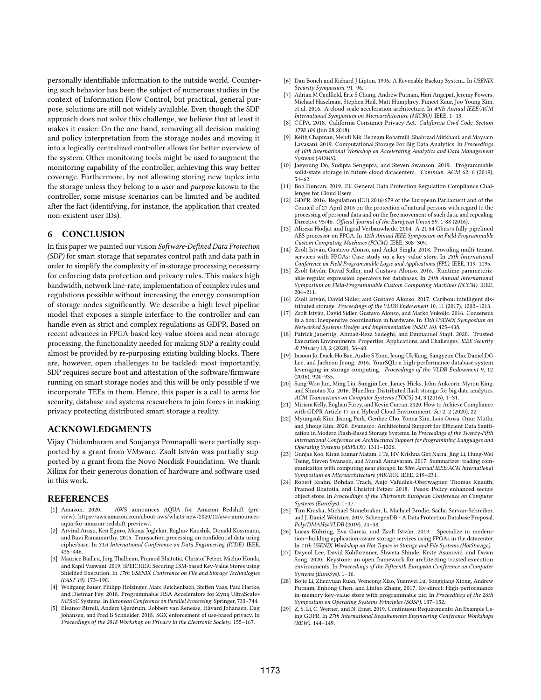personally identifiable information to the outside world. Countering such behavior has been the subject of numerous studies in the context of Information Flow Control, but practical, general purpose, solutions are still not widely available. Even though the SDP approach does not solve this challenge, we believe that at least it makes it easier: On the one hand, removing all decision making and policy interpretation from the storage nodes and moving it into a logically centralized controller allows for better overview of the system. Other monitoring tools might be used to augment the monitoring capability of the controller, achieving this way better coverage. Furthermore, by not allowing storing new tuples into the storage unless they belong to a user and purpose known to the controller, some misuse scenarios can be limited and be audited after the fact (identifying, for instance, the application that created non-existent user IDs).

## 6 CONCLUSION

In this paper we painted our vision Software-Defined Data Protection (SDP) for smart storage that separates control path and data path in order to simplify the complexity of in-storage processing necessary for enforcing data protection and privacy rules. This makes high bandwidth, network line-rate, implementation of complex rules and regulations possible without increasing the energy consumption of storage nodes significantly. We describe a high level pipeline model that exposes a simple interface to the controller and can handle even as strict and complex regulations as GDPR. Based on recent advances in FPGA-based key-value stores and near-storage processing, the functionality needed for making SDP a reality could almost be provided by re-purposing existing building blocks. There are, however, open challenges to be tackled: most importantly, SDP requires secure boot and attestation of the software/firmware running on smart storage nodes and this will be only possible if we incorporate TEEs in them. Hence, this paper is a call to arms for security, database and systems researchers to join forces in making privacy protecting distributed smart storage a reality.

## ACKNOWLEDGMENTS

Vijay Chidambaram and Soujanya Ponnapalli were partially supported by a grant from VMware. Zsolt István was partially supported by a grant from the Novo Nordisk Foundation. We thank Xilinx for their generous donation of hardware and software used in this work.

#### REFERENCES

- [1] Amazon. 2020. AWS announces AOUA for Amazon Redshift (preview). https://aws.amazon.com/about-aws/whats-new/2020/12/aws-announcesaqua-for-amazon-redshift-preview/.
- [2] Arvind Arasu, Ken Eguro, Manas Joglekar, Raghav Kaushik, Donald Kossmann, and Ravi Ramamurthy. 2015. Transaction processing on confidential data using cipherbase. In 31st International Conference on Data Engineering (ICDE). IEEE, 435–446.
- [3] Maurice Bailleu, Jörg Thalheim, Pramod Bhatotia, Christof Fetzer, Michio Honda, and Kapil Vaswani. 2019. SPEICHER: Securing LSM-based Key-Value Stores using Shielded Execution. In 17th USENIX Conference on File and Storage Technologies (FAST 19). 173–190.
- [4] Wolfgang Bauer, Philipp Holzinger, Marc Reichenbach, Steffen Vaas, Paul Hartke, and Dietmar Fey. 2018. Programmable HSA Accelerators for Zynq UltraScale+ MPSoC Systems. In European Conference on Parallel Processing. Springer, 733–744.
- [5] Eleanor Birrell, Anders Gjerdrum, Robbert van Renesse, Håvard Johansen, Dag Johansen, and Fred B Schneider. 2018. SGX enforcement of use-based privacy. In Proceedings of the 2018 Workshop on Privacy in the Electronic Society. 155–167.
- [6] Dan Boneh and Richard J Lipton. 1996. A Revocable Backup System.. In USENIX Security Symposium. 91–96.
- [7] Adrian M Caulfield, Eric S Chung, Andrew Putnam, Hari Angepat, Jeremy Fowers, Michael Haselman, Stephen Heil, Matt Humphrey, Puneet Kaur, Joo-Young Kim, et al. 2016. A cloud-scale acceleration architecture. In 49th Annual IEEE/ACM International Symposium on Microarchitecture (MICRO). IEEE, 1–13.
- [8] CCPA. 2018. California Consumer Privacy Act. California Civil Code, Section 1798.100 (Jun 28 2018).
- [9] Keith Chapman, Mehdi Nik, Behnam Robatmili, Shahrzad Mirkhani, and Maysam Lavasani. 2019. Computational Storage For Big Data Analytics. In Proceedings of 10th International Workshop on Accelerating Analytics and Data Management Systems (ADMS).
- [10] Jaeyoung Do, Sudipta Sengupta, and Steven Swanson. 2019. Programmable solid-state storage in future cloud datacenters. Commun. ACM 62, 6 (2019), 54–62.
- [11] Bob Duncan. 2019. EU General Data Protection Regulation Compliance Challenges for Cloud Users.
- [12] GDPR. 2016. Regulation (EU) 2016/679 of the European Parliament and of the Council of 27 April 2016 on the protection of natural persons with regard to the processing of personal data and on the free movement of such data, and repealing Directive 95/46. Official Journal of the European Union 59, 1-88 (2016).
- [13] Alireza Hodjat and Ingrid Verbauwhede. 2004. A 21.54 Gbits/s fully pipelined AES processor on FPGA. In 12th Annual IEEE Symposium on Field-Programmable Custom Computing Machines (FCCM). IEEE, 308–309.
- [14] Zsolt István, Gustavo Alonso, and Ankit Singla. 2018. Providing multi-tenant services with FPGAs: Case study on a key-value store. In 28th International Conference on Field Programmable Logic and Applications (FPL). IEEE, 119–1195.
- [15] Zsolt István, David Sidler, and Gustavo Alonso, 2016. Runtime parameterizable regular expression operators for databases. In 24th Annual International Symposium on Field-Programmable Custom Computing Machines (FCCM). IEEE, 204–211.
- [16] Zsolt István, David Sidler, and Gustavo Alonso. 2017. Caribou: intelligent distributed storage. Proceedings of the VLDB Endowment 10, 11 (2017), 1202–1213.
- [17] Zsolt István, David Sidler, Gustavo Alonso, and Marko Vukolic. 2016. Consensus in a box: Inexpensive coordination in hardware. In 13th USENIX Symposium on Networked Systems Design and Implementation (NSDI 16). 425–438.
- [18] Patrick Jauernig, Ahmad-Reza Sadeghi, and Emmanuel Stapf. 2020. Trusted Execution Environments: Properties, Applications, and Challenges. IEEE Security & Privacy 18, 2 (2020), 56–60.
- [19] Insoon Jo, Duck-Ho Bae, Andre S Yoon, Jeong-Uk Kang, Sangyeun Cho, Daniel DG Lee, and Jaeheon Jeong. 2016. YourSQL: a high-performance database system leveraging in-storage computing. Proceedings of the VLDB Endowment 9, 12 (2016), 924–935.
- [20] Sang-Woo Jun, Ming Liu, Sungjin Lee, Jamey Hicks, John Ankcorn, Myron King, and Shuotao Xu. 2016. Bluedbm: Distributed flash storage for big data analytics. ACM Transactions on Computer Systems (TOCS) 34, 3 (2016), 1–31.
- [21] Miriam Kelly, Eoghan Furey, and Kevin Curran. 2020. How to Achieve Compliance with GDPR Article 17 in a Hybrid Cloud Environment. Sci 2, 2 (2020), 22.
- [22] Myungsuk Kim, Jisung Park, Genhee Cho, Yoona Kim, Lois Orosa, Onur Mutlu, and Jihong Kim. 2020. Evanesco: Architectural Support for Efficient Data Sanitization in Modern Flash-Based Storage Systems. In Proceedings of the Twenty-Fifth International Conference on Architectural Support for Programming Languages and Operating Systems (ASPLOS). 1311–1326.
- [23] Gunjae Koo, Kiran Kumar Matam, I Te, HV Krishna Giri Narra, Jing Li, Hung-Wei Tseng, Steven Swanson, and Murali Annavaram. 2017. Summarizer: trading communication with computing near storage. In 50th Annual IEEE/ACM International Symposium on Microarchitecture (MICRO). IEEE, 219–231.
- [24] Robert Krahn, Bohdan Trach, Anjo Vahldiek-Oberwagner, Thomas Knauth, Pramod Bhatotia, and Christof Fetzer. 2018. Pesos: Policy enhanced secure object store. In Proceedings of the Thirteenth European Conference on Computer Systems (EuroSys). 1–17.
- [25] Tim Kraska, Michael Stonebraker, L. Michael Brodie, Sacha Servan-Schreiber, and J. Daniel Weitzner. 2019. SchengenDB - A Data Protection Database Proposal. Poly/DMAH@VLDB (2019), 24–38.
- [26] Lucas Kuhring, Eva Garcia, and Zsolt István. 2019. Specialize in moderation—building application-aware storage services using FPGAs in the datacenter. In 11th USENIX Workshop on Hot Topics in Storage and File Systems (HotStorage).
- [27] Dayeol Lee, David Kohlbrenner, Shweta Shinde, Krste Asanović, and Dawn Song. 2020. Keystone: an open framework for architecting trusted execution environments. In Proceedings of the Fifteenth European Conference on Computer Systems (EuroSys). 1–16.
- [28] Bojie Li, Zhenyuan Ruan, Wencong Xiao, Yuanwei Lu, Yongqiang Xiong, Andrew Putnam, Enhong Chen, and Lintao Zhang. 2017. Kv-direct: High-performance in-memory key-value store with programmable nic. In Proceedings of the 26th Symposium on Operating Systems Principles (SOSP). 137–152.
- [29] Z. S. Li, C. Werner, and N. Ernst. 2019. Continuous Requirements: An Example Using GDPR. In 27th International Requirements Engineering Conference Workshops (REW). 144–149.